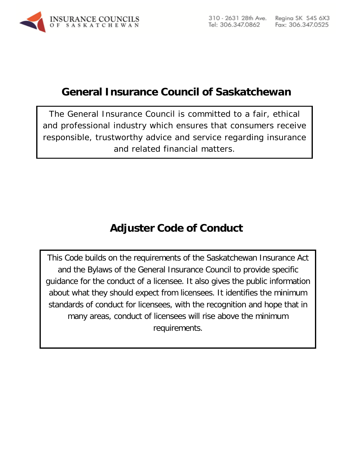<span id="page-0-0"></span>

# **General Insurance Council of Saskatchewan**

<span id="page-0-1"></span>The General Insurance Council is committed to a fair, ethical and professional industry which ensures that consumers receive responsible, trustworthy advice and service regarding insurance and related financial matters.

# **Adjuster Code of Conduct**

This Code builds on the requirements of the Saskatchewan Insurance Act and the Bylaws of the General Insurance Council to provide specific guidance for the conduct of a licensee. It also gives the public information about what they should expect from licensees. It identifies the minimum standards of conduct for licensees, with the recognition and hope that in many areas, conduct of licensees will rise above the minimum requirements.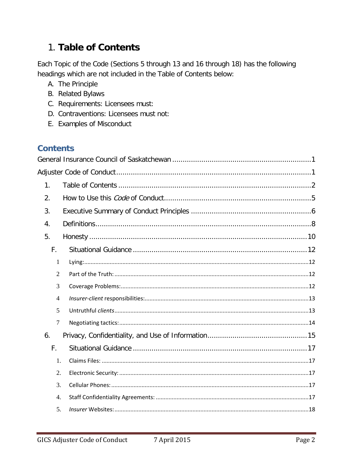# <span id="page-1-0"></span>1. Table of Contents

Each Topic of the Code (Sections 5 through 13 and 16 through 18) has the following headings which are not included in the Table of Contents below:

- A. The Principle
- **B.** Related Bylaws
- C. Requirements: Licensees must:
- D. Contraventions: Licensees must not:
- E. Examples of Misconduct

# **Contents**

| $\mathbf{1}$ .   |  |
|------------------|--|
| 2.               |  |
| 3.               |  |
| 4.               |  |
| 5.               |  |
| F.               |  |
| $\mathbf{1}$     |  |
| $\overline{2}$   |  |
| 3                |  |
| $\overline{4}$   |  |
| 5                |  |
| $\overline{7}$   |  |
| 6.               |  |
| F.               |  |
| 1.               |  |
| 2.               |  |
| 3.               |  |
| $\overline{4}$ . |  |
| 5.               |  |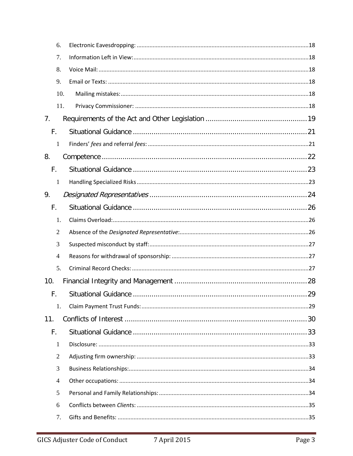| 6.             |  |
|----------------|--|
| 7.             |  |
| 8.             |  |
| 9.             |  |
| 10.            |  |
| 11.            |  |
| 7 <sub>1</sub> |  |
| F.             |  |
| 1              |  |
| 8.             |  |
| F.             |  |
| 1              |  |
| 9.             |  |
| F.             |  |
| 1.             |  |
| $\overline{2}$ |  |
| 3              |  |
| $\overline{4}$ |  |
| 5.             |  |
| 10.            |  |
| F.             |  |
| 1.             |  |
| 11.            |  |
| F.             |  |
| $\mathbf{1}$   |  |
| $\mathfrak{2}$ |  |
| 3              |  |
| $\overline{4}$ |  |
| 5              |  |
| 6              |  |
| 7.             |  |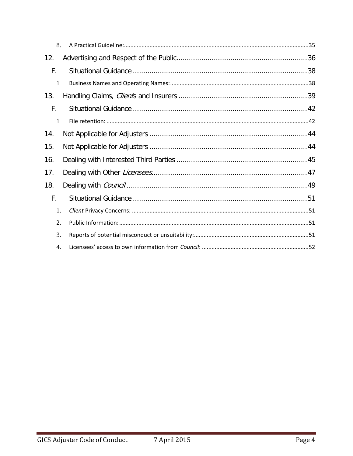| 8.               |  |
|------------------|--|
| 12.              |  |
| F.               |  |
| 1                |  |
| 13.              |  |
| F.               |  |
| 1                |  |
| 14.              |  |
| 15.              |  |
| 16.              |  |
| 17.              |  |
| 18.              |  |
| F.               |  |
| 1.               |  |
| $\overline{2}$ . |  |
| 3.               |  |
| 4.               |  |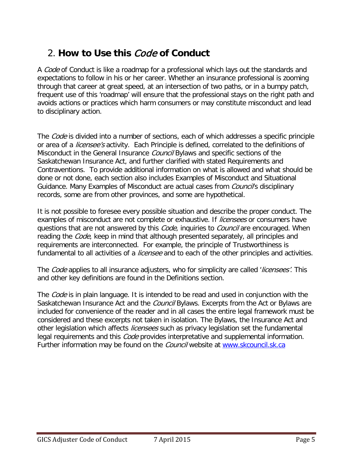# <span id="page-4-0"></span>2. **How to Use this** Code **of Conduct**

A *Code* of Conduct is like a roadmap for a professional which lays out the standards and expectations to follow in his or her career. Whether an insurance professional is zooming through that career at great speed, at an intersection of two paths, or in a bumpy patch, frequent use of this 'roadmap' will ensure that the professional stays on the right path and avoids actions or practices which harm consumers or may constitute misconduct and lead to disciplinary action.

The *Code* is divided into a number of sections, each of which addresses a specific principle or area of a *licensee's* activity. Each Principle is defined, correlated to the definitions of Misconduct in the General Insurance *Council* Bylaws and specific sections of the Saskatchewan Insurance Act, and further clarified with stated Requirements and Contraventions. To provide additional information on what is allowed and what should be done or not done, each section also includes Examples of Misconduct and Situational Guidance. Many Examples of Misconduct are actual cases from *Council'*s disciplinary records, some are from other provinces, and some are hypothetical.

It is not possible to foresee every possible situation and describe the proper conduct. The examples of misconduct are not complete or exhaustive. If *licensees* or consumers have questions that are not answered by this *Code*, inquiries to *Council* are encouraged. When reading the *Code*, keep in mind that although presented separately, all principles and requirements are interconnected. For example, the principle of Trustworthiness is fundamental to all activities of a *licensee* and to each of the other principles and activities.

The Code applies to all insurance adjusters, who for simplicity are called 'licensees'. This and other key definitions are found in the Definitions section.

The *Code* is in plain language. It is intended to be read and used in conjunction with the Saskatchewan Insurance Act and the *Council* Bylaws. Excerpts from the Act or Bylaws are included for convenience of the reader and in all cases the entire legal framework must be considered and these excerpts not taken in isolation. The Bylaws, the Insurance Act and other legislation which affects *licensees* such as privacy legislation set the fundamental legal requirements and this *Code* provides interpretative and supplemental information. Further information may be found on the *Council* website at [www.skcouncil.sk.ca](http://www.skcouncil.sk.ca/)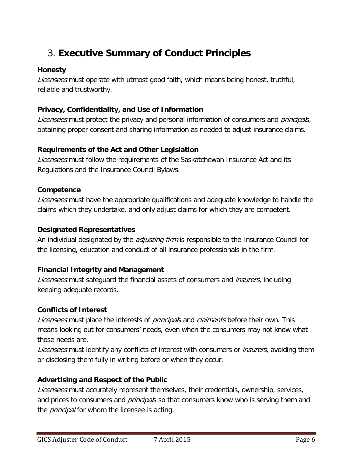# <span id="page-5-0"></span>3. **Executive Summary of Conduct Principles**

#### **Honesty**

Licensees must operate with utmost good faith, which means being honest, truthful, reliable and trustworthy.

### **Privacy, Confidentiality, and Use of Information**

Licensees must protect the privacy and personal information of consumers and *principal*s, obtaining proper consent and sharing information as needed to adjust insurance claims.

## **Requirements of the Act and Other Legislation**

Licensees must follow the requirements of the Saskatchewan Insurance Act and its Regulations and the Insurance Council Bylaws.

### **Competence**

Licensees must have the appropriate qualifications and adequate knowledge to handle the claims which they undertake, and only adjust claims for which they are competent.

#### **Designated Representatives**

An individual designated by the *adjusting firm* is responsible to the Insurance Council for the licensing, education and conduct of all insurance professionals in the firm.

### **Financial Integrity and Management**

Licensees must safeguard the financial assets of consumers and *insurers*, including keeping adequate records.

### **Conflicts of Interest**

Licensees must place the interests of principals and claimants before their own. This means looking out for consumers' needs, even when the consumers may not know what those needs are.

Licensees must identify any conflicts of interest with consumers or *insurers*, avoiding them or disclosing them fully in writing before or when they occur.

### **Advertising and Respect of the Public**

Licensees must accurately represent themselves, their credentials, ownership, services, and prices to consumers and *principal*s so that consumers know who is serving them and the *principal* for whom the licensee is acting.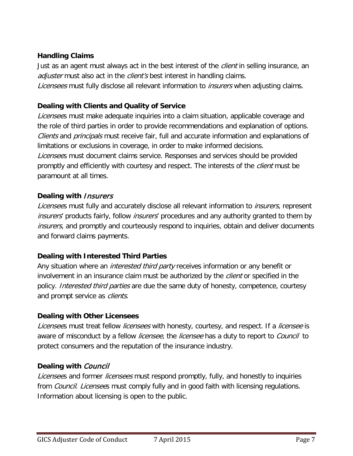### **Handling Claims**

Just as an agent must always act in the best interest of the *client* in selling insurance, an adjuster must also act in the *client's* best interest in handling claims. Licensees must fully disclose all relevant information to *insurers* when adjusting claims.

## **Dealing with Clients and Quality of Service**

Licensees must make adequate inquiries into a claim situation, applicable coverage and the role of third parties in order to provide recommendations and explanation of options. Clients and *principals* must receive fair, full and accurate information and explanations of limitations or exclusions in coverage, in order to make informed decisions. Licensees must document claims service. Responses and services should be provided promptly and efficiently with courtesy and respect. The interests of the *client* must be paramount at all times.

## **Dealing with** Insurers

Licensees must fully and accurately disclose all relevant information to *insurers*, represent insurers' products fairly, follow insurers' procedures and any authority granted to them by insurers, and promptly and courteously respond to inquiries, obtain and deliver documents and forward claims payments.

### **Dealing with Interested Third Parties**

Any situation where an *interested third party* receives information or any benefit or involvement in an insurance claim must be authorized by the *client* or specified in the policy. Interested third parties are due the same duty of honesty, competence, courtesy and prompt service as *clients*.

# **Dealing with Other Licensees**

Licensees must treat fellow *licensees* with honesty, courtesy, and respect. If a *licensee* is aware of misconduct by a fellow *licensee*, the *licensee* has a duty to report to *Council* to protect consumers and the reputation of the insurance industry.

# **Dealing with** Council

Licensees and former licensees must respond promptly, fully, and honestly to inquiries from *Council. Licensee*s must comply fully and in good faith with licensing regulations. Information about licensing is open to the public.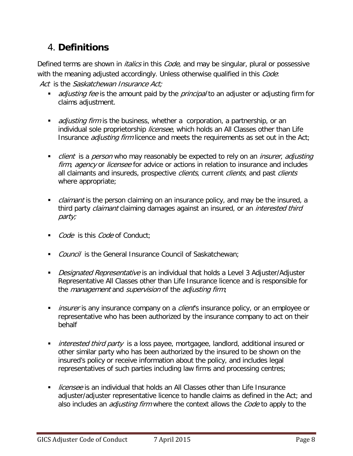# <span id="page-7-0"></span>4. **Definitions**

Defined terms are shown in *italics* in this *Code*, and may be singular, plural or possessive with the meaning adjusted accordingly. Unless otherwise qualified in this *Code*: Act is the Saskatchewan Insurance Act:

- adjusting fee is the amount paid by the *principal* to an adjuster or adjusting firm for claims adjustment.
- adjusting firm is the business, whether a corporation, a partnership, or an individual sole proprietorship licensee, which holds an All Classes other than Life Insurance *adjusting firm* licence and meets the requirements as set out in the Act;
- client is a *person* who may reasonably be expected to rely on an *insurer, adjusting* firm, agency or licensee for advice or actions in relation to insurance and includes all claimants and insureds, prospective clients, current clients, and past clients where appropriate;
- claimant is the person claiming on an insurance policy, and may be the insured, a third party *claimant* claiming damages against an insured, or an *interested third* party;
- Code is this Code of Conduct;
- Council is the General Insurance Council of Saskatchewan:
- Designated Representative is an individual that holds a Level 3 Adjuster/Adjuster Representative All Classes other than Life Insurance licence and is responsible for the *management* and *supervision* of the *adjusting firm*;
- insurer is any insurance company on a *client*'s insurance policy, or an employee or representative who has been authorized by the insurance company to act on their behalf
- **interested third party is a loss payee, mortgagee, landlord, additional insured or** other similar party who has been authorized by the insured to be shown on the insured's policy or receive information about the policy, and includes legal representatives of such parties including law firms and processing centres;
- licensee is an individual that holds an All Classes other than Life Insurance adjuster/adjuster representative licence to handle claims as defined in the Act; and also includes an *adjusting firm* where the context allows the *Code* to apply to the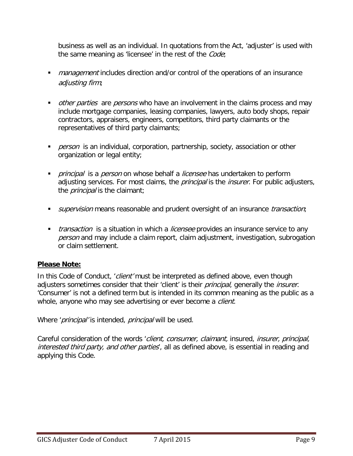business as well as an individual. In quotations from the Act, 'adjuster' is used with the same meaning as 'licensee' in the rest of the Code;

- **management includes direction and/or control of the operations of an insurance** adjusting firm;
- other parties are persons who have an involvement in the claims process and may include mortgage companies, leasing companies, lawyers, auto body shops, repair contractors, appraisers, engineers, competitors, third party claimants or the representatives of third party claimants;
- person is an individual, corporation, partnership, society, association or other organization or legal entity;
- **Part of the set of the set of the set of the set of the set of the set of the set of the set of the set of the set of the set of the set of the set of the set of the set of the set of the set of the set of the set of the** adjusting services. For most claims, the *principal* is the *insurer*. For public adjusters, the *principal* is the claimant;
- supervision means reasonable and prudent oversight of an insurance *transaction*;
- **transaction** is a situation in which a *licensee* provides an insurance service to any person and may include a claim report, claim adjustment, investigation, subrogation or claim settlement.

#### **Please Note:**

In this Code of Conduct, 'client' must be interpreted as defined above, even though adjusters sometimes consider that their 'client' is their principal, generally the insurer. 'Consumer' is not a defined term but is intended in its common meaning as the public as a whole, anyone who may see advertising or ever become a *client*.

Where '*principal'* is intended, *principal* will be used.

Careful consideration of the words 'client, consumer, claimant, insured, insurer, principal, interested third party, and other parties, all as defined above, is essential in reading and applying this Code.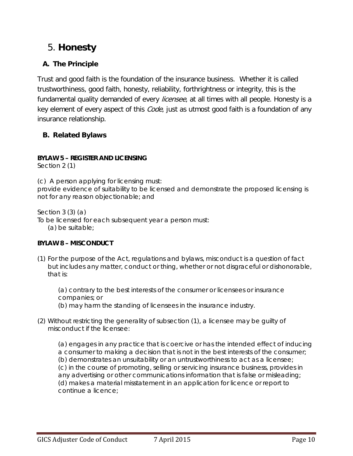# <span id="page-9-0"></span>5. **Honesty**

# **A. The Principle**

Trust and good faith is the foundation of the insurance business. Whether it is called trustworthiness, good faith, honesty, reliability, forthrightness or integrity, this is the fundamental quality demanded of every *licensee*, at all times with all people. Honesty is a key element of every aspect of this *Code*, just as utmost good faith is a foundation of any insurance relationship.

## **B. Related Bylaws**

#### **BYLAW 5 – REGISTER AND LICENSING**

Section 2 (1)

(c) A *person* applying for licensing must:

provide evidence of suitability to be licensed and demonstrate the proposed licensing is not for any reason objectionable; and

Section 3 (3) (a)

To be licensed for each subsequent year a *person* must:

(a) be suitable;

#### **BYLAW 8 – MISCONDUCT**

- (1) For the purpose of the Act, regulations and bylaws, misconduct is a question of fact but includes any matter, conduct or thing, whether or not disgraceful or dishonorable, that is:
	- (a) contrary to the best interests of the consumer or *licensees* or insurance companies; or

(b) may harm the standing of *licensees* in the insurance industry.

(2) Without restricting the generality of subsection (1), a *licensee* may be guilty of misconduct if the *licensee*:

(a) engages in any practice that is coercive or has the intended effect of inducing a consumer to making a decision that is not in the best interests of the consumer; (b) demonstrates an unsuitability or an untrustworthiness to act as a *licensee*; (c) in the course of promoting, selling or servicing insurance business, provides in any advertising or other communications information that is false or misleading; (d) makes a material misstatement in an application for licence or report to continue a licence;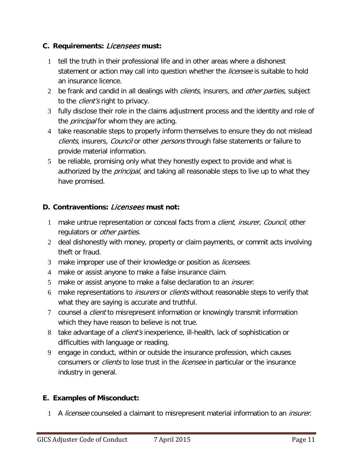### **C. Requirements:** Licensees **must:**

- 1 tell the truth in their professional life and in other areas where a dishonest statement or action may call into question whether the *licensee* is suitable to hold an insurance licence.
- 2 be frank and candid in all dealings with *clients*, insurers, and *other parties*, subject to the *client's* right to privacy.
- 3 fully disclose their role in the claims adjustment process and the identity and role of the *principal* for whom they are acting.
- 4 take reasonable steps to properly inform themselves to ensure they do not mislead clients, insurers, Council or other persons through false statements or failure to provide material information.
- 5 be reliable, promising only what they honestly expect to provide and what is authorized by the *principal*, and taking all reasonable steps to live up to what they have promised.

# **D. Contraventions:** Licensees **must not:**

- 1 make untrue representation or conceal facts from a *client, insurer, Council*, other regulators or *other parties*.
- 2 deal dishonestly with money, property or claim payments, or commit acts involving theft or fraud.
- 3 make improper use of their knowledge or position as *licensees*.
- 4 make or assist anyone to make a false insurance claim.
- 5 make or assist anyone to make a false declaration to an *insurer*.
- 6 make representations to *insurers* or *clients* without reasonable steps to verify that what they are saying is accurate and truthful.
- 7 counsel a *client* to misrepresent information or knowingly transmit information which they have reason to believe is not true.
- 8 take advantage of a *client's* inexperience, ill-health, lack of sophistication or difficulties with language or reading.
- 9 engage in conduct, within or outside the insurance profession, which causes consumers or *clients* to lose trust in the *licensee* in particular or the insurance industry in general.

### **E. Examples of Misconduct:**

1 A licensee counseled a claimant to misrepresent material information to an *insurer*.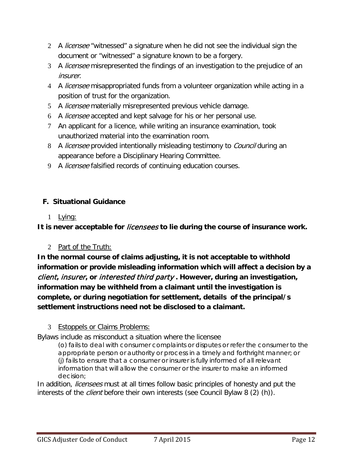- 2 A *licensee* "witnessed" a signature when he did not see the individual sign the document or "witnessed" a signature known to be a forgery.
- 3 A *licensee* misrepresented the findings of an investigation to the prejudice of an insurer.
- 4 A *licensee* misappropriated funds from a volunteer organization while acting in a position of trust for the organization.
- 5 A licensee materially misrepresented previous vehicle damage.
- 6 A licensee accepted and kept salvage for his or her personal use.
- 7 An applicant for a licence, while writing an insurance examination, took unauthorized material into the examination room.
- 8 A *licensee* provided intentionally misleading testimony to *Council* during an appearance before a Disciplinary Hearing Committee.
- 9 A *licensee* falsified records of continuing education courses.

# <span id="page-11-0"></span>**F. Situational Guidance**

1 Lying:

<span id="page-11-1"></span>**It is never acceptable for** licensees **to lie during the course of insurance work.** 

2 Part of the Truth:

<span id="page-11-2"></span>**In the normal course of claims adjusting, it is not acceptable to withhold information or provide misleading information which will affect a decision by a**  client**,** insurer**, or** interested third party **. However, during an investigation, information may be withheld from a claimant until the investigation is complete, or during negotiation for settlement, details of the principal/s settlement instructions need not be disclosed to a claimant.** 

### 3 Estoppels or Claims Problems:

<span id="page-11-3"></span>Bylaws include as misconduct a situation where the licensee

(o) fails to deal with consumer complaints or disputes or refer the consumer to the appropriate person or authority or process in a timely and forthright manner; or (j) fails to ensure that a consumer or *insurer* is fully informed of all relevant information that will allow the consumer or the *insurer* to make an informed decision;

In addition, *licensees* must at all times follow basic principles of honesty and put the interests of the *client* before their own interests (see Council Bylaw 8 (2) (h)).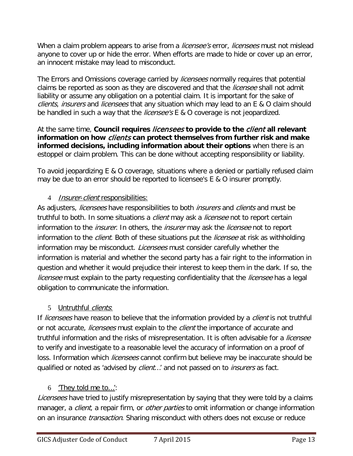When a claim problem appears to arise from a *licensee's* error, *licensees* must not mislead anyone to cover up or hide the error. When efforts are made to hide or cover up an error, an innocent mistake may lead to misconduct.

The Errors and Omissions coverage carried by *licensees* normally requires that potential claims be reported as soon as they are discovered and that the *licensee* shall not admit liability or assume any obligation on a potential claim. It is important for the sake of clients, insurers and licensees that any situation which may lead to an E & O claim should be handled in such a way that the *licensee's* E & O coverage is not jeopardized.

At the same time, **Council requires** licensees **to provide to the** client **all relevant information on how** clients **can protect themselves from further risk and make informed decisions, including information about their options** when there is an estoppel or claim problem. This can be done without accepting responsibility or liability.

To avoid jeopardizing E & O coverage, situations where a denied or partially refused claim may be due to an error should be reported to licensee's E & O insurer promptly.

### 4 *Insurer-client* responsibilities:

<span id="page-12-0"></span>As adjusters, licensees have responsibilities to both insurers and clients and must be truthful to both. In some situations a *client* may ask a *licensee* not to report certain information to the *insurer*. In others, the *insurer* may ask the *licensee* not to report information to the *client*. Both of these situations put the *licensee* at risk as withholding information may be misconduct. *Licensees* must consider carefully whether the information is material and whether the second party has a fair right to the information in question and whether it would prejudice their interest to keep them in the dark. If so, the licensee must explain to the party requesting confidentiality that the *licensee* has a legal obligation to communicate the information.

#### 5 Untruthful *clients*:

<span id="page-12-1"></span>If *licensees* have reason to believe that the information provided by a *client* is not truthful or not accurate, *licensees* must explain to the *client* the importance of accurate and truthful information and the risks of misrepresentation. It is often advisable for a *licensee* to verify and investigate to a reasonable level the accuracy of information on a proof of loss. Information which *licensees* cannot confirm but believe may be inaccurate should be qualified or noted as 'advised by *client...'* and not passed on to *insurers* as fact.

### 6 'They told me to…':

Licensees have tried to justify misrepresentation by saying that they were told by a claims manager, a *client*, a repair firm, or *other parties* to omit information or change information on an insurance *transaction*. Sharing misconduct with others does not excuse or reduce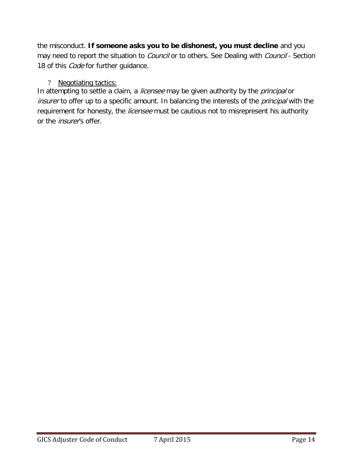the misconduct. **If someone asks you to be dishonest, you must decline** and you may need to report the situation to *Council* or to others. See Dealing with *Council* - Section 18 of this *Code* for further guidance.

#### <span id="page-13-0"></span>7 Negotiating tactics:

In attempting to settle a claim, a licensee may be given authority by the principal or insurer to offer up to a specific amount. In balancing the interests of the principal with the requirement for honesty, the licensee must be cautious not to misrepresent his authority or the *insurer's* offer.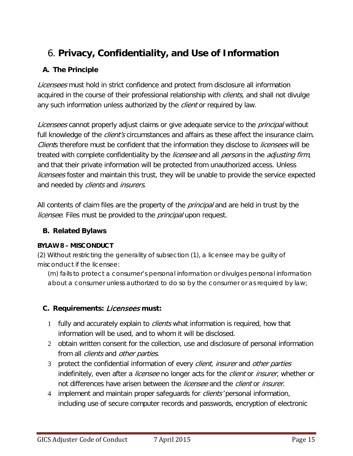# <span id="page-14-0"></span>6. **Privacy, Confidentiality, and Use of Information**

# **A. The Principle**

Licensees must hold in strict confidence and protect from disclosure all information acquired in the course of their professional relationship with *clients*, and shall not divulge any such information unless authorized by the *client* or required by law.

Licensees cannot properly adjust claims or give adequate service to the *principal* without full knowledge of the *client's* circumstances and affairs as these affect the insurance claim. Clients therefore must be confident that the information they disclose to *licensees* will be treated with complete confidentiality by the *licensee* and all *persons* in the *adjusting firm*, and that their private information will be protected from unauthorized access. Unless *licensees* foster and maintain this trust, they will be unable to provide the service expected and needed by *clients* and *insurers*.

All contents of claim files are the property of the *principal* and are held in trust by the licensee. Files must be provided to the *principal* upon request.

## **B. Related Bylaws**

### **BYLAW 8 – MISCONDUCT**

(2) Without restricting the generality of subsection (1), a *licensee* may be guilty of misconduct if the *licensee*:

(m) fails to protect a consumer's personal information or divulges personal information about a consumer unless authorized to do so by the consumer or as required by law;

# **C. Requirements:** Licensees **must:**

- 1 fully and accurately explain to *clients* what information is required, how that information will be used, and to whom it will be disclosed.
- 2 obtain written consent for the collection, use and disclosure of personal information from all *clients* and *other parties*.
- 3 protect the confidential information of every *client, insurer* and *other parties* indefinitely, even after a *licensee* no longer acts for the *client* or *insurer*, whether or not differences have arisen between the *licensee* and the *client* or *insurer*.
- 4 implement and maintain proper safeguards for *clients'* personal information, including use of secure computer records and passwords, encryption of electronic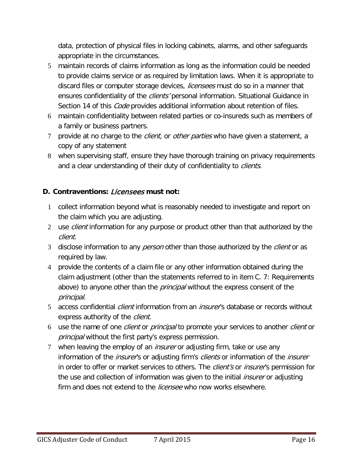data, protection of physical files in locking cabinets, alarms, and other safeguards appropriate in the circumstances.

- 5 maintain records of claims information as long as the information could be needed to provide claims service or as required by limitation laws. When it is appropriate to discard files or computer storage devices, *licensees* must do so in a manner that ensures confidentiality of the *clients'* personal information. Situational Guidance in Section 14 of this *Code* provides additional information about retention of files.
- 6 maintain confidentiality between related parties or co-insureds such as members of a family or business partners.
- 7 provide at no charge to the *client*, or *other parties* who have given a statement, a copy of any statement
- 8 when supervising staff, ensure they have thorough training on privacy requirements and a clear understanding of their duty of confidentiality to *clients*.

## **D. Contraventions:** Licensees **must not:**

- 1 collect information beyond what is reasonably needed to investigate and report on the claim which you are adjusting.
- 2 use *client* information for any purpose or product other than that authorized by the client.
- 3 disclose information to any *person* other than those authorized by the *client* or as required by law.
- 4 provide the contents of a claim file or any other information obtained during the claim adjustment (other than the statements referred to in item C. 7: Requirements above) to anyone other than the *principal* without the express consent of the principal.
- 5 access confidential *client* information from an *insurer'*s database or records without express authority of the *client*.
- 6 use the name of one *client* or *principal* to promote your services to another *client* or principal without the first party's express permission.
- 7 when leaving the employ of an *insurer* or adjusting firm, take or use any information of the *insurer'*s or adjusting firm's *clients* or information of the *insurer* in order to offer or market services to others. The *client's* or *insurer's* permission for the use and collection of information was given to the initial *insurer* or adjusting firm and does not extend to the *licensee* who now works elsewhere.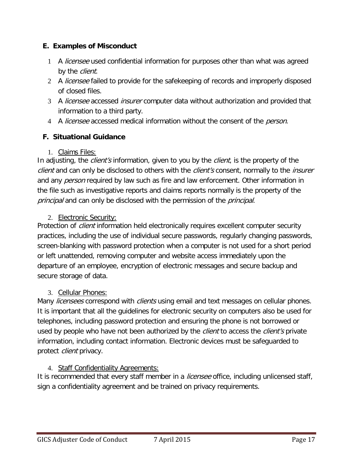## **E. Examples of Misconduct**

- 1 A licensee used confidential information for purposes other than what was agreed by the *client*.
- 2 A licensee failed to provide for the safekeeping of records and improperly disposed of closed files.
- 3 A licensee accessed insurer computer data without authorization and provided that information to a third party.
- 4 A *licensee* accessed medical information without the consent of the *person*.

# <span id="page-16-0"></span>**F. Situational Guidance**

## 1. Claims Files:

<span id="page-16-1"></span>In adjusting, the *client's* information, given to you by the *client*, is the property of the client and can only be disclosed to others with the client's consent, normally to the insurer and any *person* required by law such as fire and law enforcement. Other information in the file such as investigative reports and claims reports normally is the property of the principal and can only be disclosed with the permission of the principal.

# <span id="page-16-2"></span>2. Electronic Security:

Protection of *client* information held electronically requires excellent computer security practices, including the use of individual secure passwords, regularly changing passwords, screen-blanking with password protection when a computer is not used for a short period or left unattended, removing computer and website access immediately upon the departure of an employee, encryption of electronic messages and secure backup and secure storage of data.

# <span id="page-16-3"></span>3. Cellular Phones:

Many *licensees* correspond with *clients* using email and text messages on cellular phones. It is important that all the guidelines for electronic security on computers also be used for telephones, including password protection and ensuring the phone is not borrowed or used by people who have not been authorized by the *client* to access the *client's* private information, including contact information. Electronic devices must be safeguarded to protect *client* privacy.

# <span id="page-16-4"></span>4. Staff Confidentiality Agreements:

It is recommended that every staff member in a *licensee* office, including unlicensed staff, sign a confidentiality agreement and be trained on privacy requirements.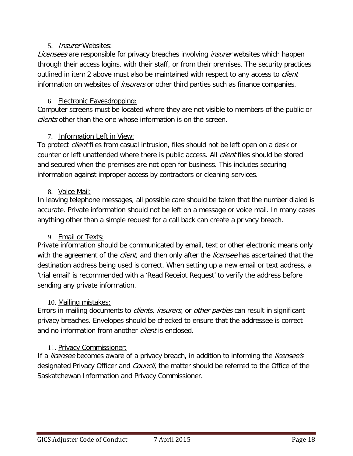#### 5. Insurer Websites:

<span id="page-17-0"></span>Licensees are responsible for privacy breaches involving insurer websites which happen through their access logins, with their staff, or from their premises. The security practices outlined in item 2 above must also be maintained with respect to any access to *client* information on websites of *insurers* or other third parties such as finance companies.

#### <span id="page-17-1"></span>6. Electronic Eavesdropping:

Computer screens must be located where they are not visible to members of the public or clients other than the one whose information is on the screen.

#### <span id="page-17-2"></span>7. Information Left in View:

To protect *client* files from casual intrusion, files should not be left open on a desk or counter or left unattended where there is public access. All *client* files should be stored and secured when the premises are not open for business. This includes securing information against improper access by contractors or cleaning services.

#### <span id="page-17-3"></span>8. Voice Mail:

In leaving telephone messages, all possible care should be taken that the number dialed is accurate. Private information should not be left on a message or voice mail. In many cases anything other than a simple request for a call back can create a privacy breach.

### <span id="page-17-4"></span>9. Email or Texts:

Private information should be communicated by email, text or other electronic means only with the agreement of the *client*, and then only after the *licensee* has ascertained that the destination address being used is correct. When setting up a new email or text address, a 'trial email' is recommended with a 'Read Receipt Request' to verify the address before sending any private information.

#### <span id="page-17-5"></span>10. Mailing mistakes:

Errors in mailing documents to *clients, insurers,* or *other parties* can result in significant privacy breaches. Envelopes should be checked to ensure that the addressee is correct and no information from another *client* is enclosed.

### <span id="page-17-6"></span>11. Privacy Commissioner:

If a *licensee* becomes aware of a privacy breach, in addition to informing the *licensee's* designated Privacy Officer and *Council*, the matter should be referred to the Office of the Saskatchewan Information and Privacy Commissioner.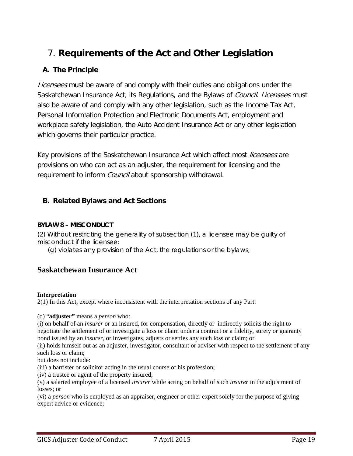# <span id="page-18-0"></span>7. **Requirements of the Act and Other Legislation**

# **A. The Principle**

Licensees must be aware of and comply with their duties and obligations under the Saskatchewan Insurance Act, its Regulations, and the Bylaws of Council. Licensees must also be aware of and comply with any other legislation, such as the Income Tax Act, Personal Information Protection and Electronic Documents Act, employment and workplace safety legislation, the Auto Accident Insurance Act or any other legislation which governs their particular practice.

Key provisions of the Saskatchewan Insurance Act which affect most licensees are provisions on who can act as an adjuster, the requirement for licensing and the requirement to inform *Council* about sponsorship withdrawal.

### **B. Related Bylaws and Act Sections**

#### **BYLAW 8 – MISCONDUCT**

(2) Without restricting the generality of subsection (1), a *licensee* may be guilty of misconduct if the *licensee*:

(g) violates any provision of the Act, the regulations or the bylaws;

# **Saskatchewan Insurance Act**

#### **Interpretation**

2(1) In this Act, except where inconsistent with the interpretation sections of any Part:

(d) "**adjuster"** means a *person* who:

(i) on behalf of an *insurer* or an insured, for compensation, directly or indirectly solicits the right to negotiate the settlement of or investigate a loss or claim under a contract or a fidelity, surety or guaranty bond issued by an *insurer*, or investigates, adjusts or settles any such loss or claim; or

(ii) holds himself out as an adjuster, investigator, consultant or adviser with respect to the settlement of any such loss or claim;

but does not include:

(iii) a barrister or solicitor acting in the usual course of his profession;

(iv) a trustee or agent of the property insured;

(v) a salaried employee of a licensed *insurer* while acting on behalf of such *insurer* in the adjustment of losses; or

(vi) a *person* who is employed as an appraiser, engineer or other expert solely for the purpose of giving expert advice or evidence;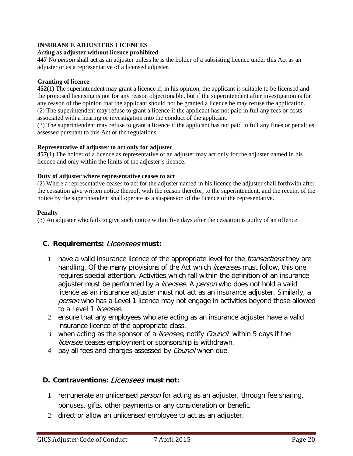#### **INSURANCE ADJUSTERS LICENCES**

#### *Act***ing as adjuster without licence prohibited**

**447** No *person* shall act as an adjuster unless he is the holder of a subsisting licence under this Act as an adjuster or as a representative of a licensed adjuster.

#### **Granting of licence**

**452**(1) The superintendent may grant a licence if, in his opinion, the applicant is suitable to be licensed and the proposed licensing is not for any reason objectionable, but if the superintendent after investigation is for any reason of the opinion that the applicant should not be granted a licence he may refuse the application. (2) The superintendent may refuse to grant a licence if the applicant has not paid in full any fees or costs associated with a hearing or investigation into the conduct of the applicant.

(3) The superintendent may refuse to grant a licence if the applicant has not paid in full any fines or penalties assessed pursuant to this Act or the regulations.

#### **Representative of adjuster to act only for adjuster**

**457**(1) The holder of a licence as representative of an adjuster may act only for the adjuster named in his licence and only within the limits of the adjuster's licence.

#### **Duty of adjuster where representative ceases to act**

(2) Where a representative ceases to act for the adjuster named in his licence the adjuster shall forthwith after the cessation give written notice thereof, with the reason therefor, to the superintendent, and the receipt of the notice by the superintendent shall operate as a suspension of the licence of the representative.

#### **Penalty**

(3) An adjuster who fails to give such notice within five days after the cessation is guilty of an offence.

#### **C. Requirements:** Licensees **must:**

- 1 have a valid insurance licence of the appropriate level for the *transactions* they are handling. Of the many provisions of the Act which *licensees* must follow, this one requires special attention. Activities which fall within the definition of an insurance adjuster must be performed by a *licensee*. A person who does not hold a valid licence as an insurance adjuster must not act as an insurance adjuster. Similarly, a person who has a Level 1 licence may not engage in activities beyond those allowed to a Level 1 licensee.
- 2 ensure that any employees who are acting as an insurance adjuster have a valid insurance licence of the appropriate class.
- 3 when acting as the sponsor of a *licensee*, notify *Council* within 5 days if the licensee ceases employment or sponsorship is withdrawn.
- 4 pay all fees and charges assessed by *Council* when due.

#### **D. Contraventions:** Licensees **must not:**

- 1 remunerate an unlicensed *person* for acting as an adjuster, through fee sharing, bonuses, gifts, other payments or any consideration or benefit.
- 2 direct or allow an unlicensed employee to act as an adjuster.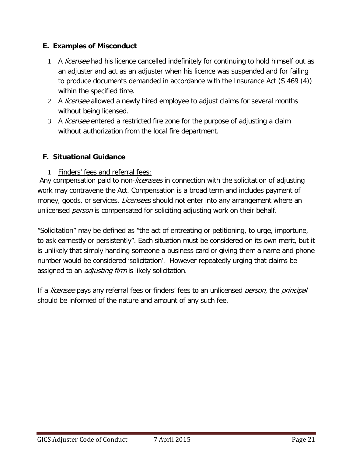### **E. Examples of Misconduct**

- 1 A *licensee* had his licence cancelled indefinitely for continuing to hold himself out as an adjuster and act as an adjuster when his licence was suspended and for failing to produce documents demanded in accordance with the Insurance Act (S 469 (4)) within the specified time.
- 2 A licensee allowed a newly hired employee to adjust claims for several months without being licensed.
- 3 A *licensee* entered a restricted fire zone for the purpose of adjusting a claim without authorization from the local fire department.

# <span id="page-20-0"></span>**F. Situational Guidance**

<span id="page-20-1"></span>1 Finders' fees and referral fees:

Any compensation paid to non-*licensees* in connection with the solicitation of adjusting work may contravene the Act. Compensation is a broad term and includes payment of money, goods, or services. *Licensee*s should not enter into any arrangement where an unlicensed *person* is compensated for soliciting adjusting work on their behalf.

"Solicitation" may be defined as "the act of entreating or petitioning, to urge, importune, to ask earnestly or persistently". Each situation must be considered on its own merit, but it is unlikely that simply handing someone a business card or giving them a name and phone number would be considered 'solicitation'. However repeatedly urging that claims be assigned to an *adjusting firm* is likely solicitation.

If a *licensee* pays any referral fees or finders' fees to an unlicensed *person*, the *principal* should be informed of the nature and amount of any such fee.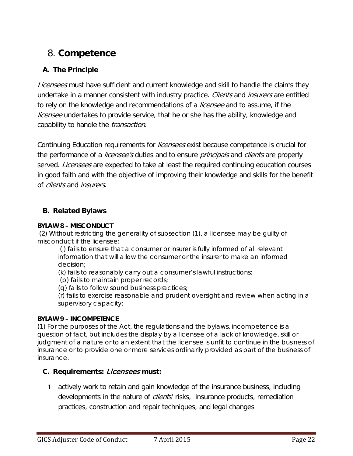# <span id="page-21-0"></span>8. **Competence**

# **A. The Principle**

Licensees must have sufficient and current knowledge and skill to handle the claims they undertake in a manner consistent with industry practice. Clients and insurers are entitled to rely on the knowledge and recommendations of a *licensee* and to assume, if the *licensee* undertakes to provide service, that he or she has the ability, knowledge and capability to handle the *transaction*.

Continuing Education requirements for *licensees* exist because competence is crucial for the performance of a *licensee's* duties and to ensure *principals* and *clients* are properly served. *Licensees* are expected to take at least the required continuing education courses in good faith and with the objective of improving their knowledge and skills for the benefit of clients and insurers.

### **B. Related Bylaws**

#### **BYLAW 8 – MISCONDUCT**

(2) Without restricting the generality of subsection (1), a *licensee* may be guilty of misconduct if the *licensee*:

(j) fails to ensure that a consumer or *insurer* is fully informed of all relevant information that will allow the consumer or the *insurer* to make an informed decision;

(k) fails to reasonably carry out a consumer's lawful instructions;

(p) fails to maintain proper records;

(q) fails to follow sound business practices;

(r) fails to exercise reasonable and prudent oversight and review when acting in a supervisory capacity;

#### **BYLAW 9 – INCOMPETENCE**

(1) For the purposes of the Act, the regulations and the bylaws, incompetence is a question of fact, but includes the display by a *licensee* of a lack of knowledge, skill or judgment of a nature or to an extent that the *licensee* is unfit to continue in the business of insurance or to provide one or more services ordinarily provided as part of the business of insurance.

#### **C. Requirements:** Licensees **must:**

1 actively work to retain and gain knowledge of the insurance business, including developments in the nature of *clients'* risks, insurance products, remediation practices, construction and repair techniques, and legal changes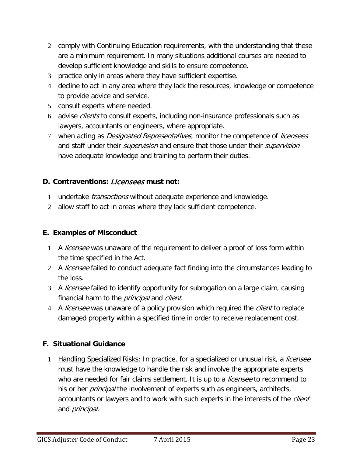- 2 comply with Continuing Education requirements, with the understanding that these are a minimum requirement. In many situations additional courses are needed to develop sufficient knowledge and skills to ensure competence.
- 3 practice only in areas where they have sufficient expertise.
- 4 decline to act in any area where they lack the resources, knowledge or competence to provide advice and service.
- 5 consult experts where needed.
- 6 advise clients to consult experts, including non-insurance professionals such as lawyers, accountants or engineers, where appropriate.
- 7 when acting as *Designated Representatives*, monitor the competence of *licensees* and staff under their *supervision* and ensure that those under their *supervision* have adequate knowledge and training to perform their duties.

## **D. Contraventions:** Licensees **must not:**

- 1 undertake *transactions* without adequate experience and knowledge.
- 2 allow staff to act in areas where they lack sufficient competence.

### **E. Examples of Misconduct**

- 1 A *licensee* was unaware of the requirement to deliver a proof of loss form within the time specified in the Act.
- 2 A licensee failed to conduct adequate fact finding into the circumstances leading to the loss.
- 3 A licensee failed to identify opportunity for subrogation on a large claim, causing financial harm to the *principal* and *client*.
- 4 A *licensee* was unaware of a policy provision which required the *client* to replace damaged property within a specified time in order to receive replacement cost.

### <span id="page-22-0"></span>**F. Situational Guidance**

<span id="page-22-1"></span>1 Handling Specialized Risks: In practice, for a specialized or unusual risk, a *licensee* must have the knowledge to handle the risk and involve the appropriate experts who are needed for fair claims settlement. It is up to a *licensee* to recommend to his or her *principal* the involvement of experts such as engineers, architects, accountants or lawyers and to work with such experts in the interests of the *client* and *principal*.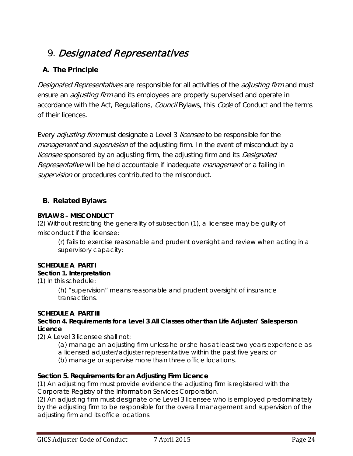# <span id="page-23-0"></span>9. Designated Representatives

# **A. The Principle**

Designated Representatives are responsible for all activities of the *adjusting firm* and must ensure an *adjusting firm* and its employees are properly supervised and operate in accordance with the Act, Regulations, Council Bylaws, this Code of Conduct and the terms of their licences.

Every *adjusting firm* must designate a Level 3 *licensee* to be responsible for the management and supervision of the adjusting firm. In the event of misconduct by a licensee sponsored by an adjusting firm, the adjusting firm and its Designated Representative will be held accountable if inadequate management or a failing in supervision or procedures contributed to the misconduct.

# **B. Related Bylaws**

#### **BYLAW 8 – MISCONDUCT**

(2) Without restricting the generality of subsection (1), a *licensee* may be guilty of misconduct if the *licensee*:

(r) fails to exercise reasonable and prudent oversight and review when acting in a supervisory capacity;

### **SCHEDULE A PART I**

#### **Section 1. Interpretation**

(1) In this schedule:

(h) "*supervision*" means reasonable and prudent oversight of insurance *transactions*.

### **SCHEDULE A PART III**

#### **Section 4. Requirements for a Level 3 All Classes other than Life Adjuster/ Sales***person* **Licence**

(2) A Level 3 *licensee* shall not:

(a) manage an adjusting firm unless he or she has at least two years experience as a licensed adjuster/adjuster representative within the past five years; or

(b) manage or supervise more than three office locations.

### **Section 5. Requirements for an Adjusting Firm Licence**

(1) An adjusting firm must provide evidence the adjusting firm is registered with the Corporate Registry of the Information Services Corporation.

(2) An adjusting firm must designate one Level 3 *licensee* who is employed predominately by the adjusting firm to be responsible for the overall *management* and supervision of the adjusting firm and its office locations.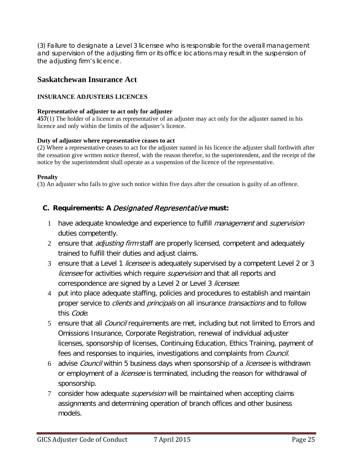(3) Failure to designate a Level 3 *licensee* who is responsible for the overall *management* and *supervision* of the adjusting firm or its office locations may result in the suspension of the adjusting firm's licence.

### **Saskatchewan Insurance Act**

#### **INSURANCE ADJUSTERS LICENCES**

#### **Representative of adjuster to act only for adjuster**

**457**(1) The holder of a licence as representative of an adjuster may act only for the adjuster named in his licence and only within the limits of the adjuster's licence.

#### **Duty of adjuster where representative ceases to act**

(2) Where a representative ceases to act for the adjuster named in his licence the adjuster shall forthwith after the cessation give written notice thereof, with the reason therefor, to the superintendent, and the receipt of the notice by the superintendent shall operate as a suspension of the licence of the representative.

#### **Penalty**

(3) An adjuster who fails to give such notice within five days after the cessation is guilty of an offence.

### **C. Requirements: A** Designated Representative **must:**

- 1 have adequate knowledge and experience to fulfill *management* and *supervision* duties competently.
- 2 ensure that *adjusting firm* staff are properly licensed, competent and adequately trained to fulfill their duties and adjust claims.
- 3 ensure that a Level 1 *licensee* is adequately supervised by a competent Level 2 or 3 licensee for activities which require *supervision* and that all reports and correspondence are signed by a Level 2 or Level 3 licensee.
- 4 put into place adequate staffing, policies and procedures to establish and maintain proper service to *clients* and *principals* on all insurance *transactions* and to follow this Code.
- 5 ensure that all *Council* requirements are met, including but not limited to Errors and Omissions Insurance, Corporate Registration, renewal of individual adjuster licenses, sponsorship of licenses, Continuing Education, Ethics Training, payment of fees and responses to inquiries, investigations and complaints from *Council*.
- 6 advise *Council* within 5 business days when sponsorship of a *licensee* is withdrawn or employment of a *licensee* is terminated, including the reason for withdrawal of sponsorship.
- 7 consider how adequate *supervision* will be maintained when accepting claims assignments and determining operation of branch offices and other business models.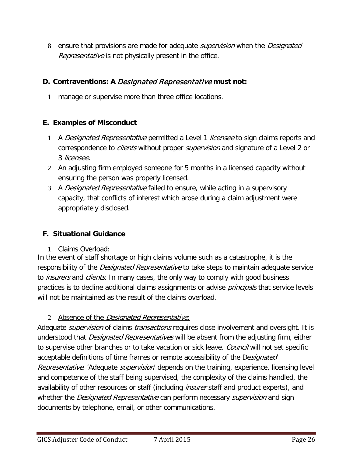8 ensure that provisions are made for adequate *supervision* when the *Designated* Representative is not physically present in the office.

# **D. Contraventions: A** Designated Representative **must not:**

1 manage or supervise more than three office locations.

# **E. Examples of Misconduct**

- 1 A Designated Representative permitted a Level 1 licensee to sign claims reports and correspondence to *clients* without proper *supervision* and signature of a Level 2 or 3 licensee.
- 2 An adjusting firm employed someone for 5 months in a licensed capacity without ensuring the person was properly licensed.
- 3 A Designated Representative failed to ensure, while acting in a supervisory capacity, that conflicts of interest which arose during a claim adjustment were appropriately disclosed.

# <span id="page-25-0"></span>**F. Situational Guidance**

### 1. Claims Overload:

<span id="page-25-1"></span>In the event of staff shortage or high claims volume such as a catastrophe, it is the responsibility of the *Designated Representative* to take steps to maintain adequate service to *insurers* and *clients*. In many cases, the only way to comply with good business practices is to decline additional claims assignments or advise *principals* that service levels will not be maintained as the result of the claims overload.

# 2 Absence of the *Designated Representative*:

<span id="page-25-2"></span>Adequate *supervision* of claims *transactions* requires close involvement and oversight. It is understood that *Designated Representatives* will be absent from the adjusting firm, either to supervise other branches or to take vacation or sick leave. *Council* will not set specific acceptable definitions of time frames or remote accessibility of the Designated Representative. 'Adequate *supervision*' depends on the training, experience, licensing level and competence of the staff being supervised, the complexity of the claims handled, the availability of other resources or staff (including *insurer* staff and product experts), and whether the *Designated Representative* can perform necessary *supervision* and sign documents by telephone, email, or other communications.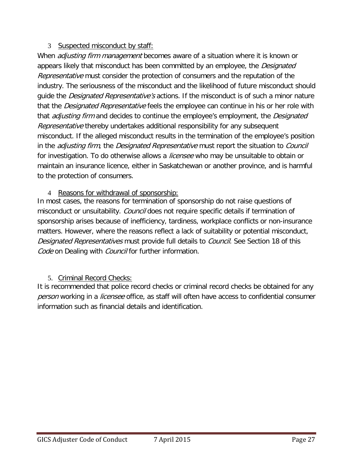### 3 Suspected misconduct by staff:

<span id="page-26-0"></span>When *adjusting firm management* becomes aware of a situation where it is known or appears likely that misconduct has been committed by an employee, the *Designated* Representative must consider the protection of consumers and the reputation of the industry. The seriousness of the misconduct and the likelihood of future misconduct should guide the *Designated Representative's* actions. If the misconduct is of such a minor nature that the *Designated Representative* feels the employee can continue in his or her role with that *adjusting firm* and decides to continue the employee's employment, the *Designated* Representative thereby undertakes additional responsibility for any subsequent misconduct. If the alleged misconduct results in the termination of the employee's position in the *adjusting firm*, the *Designated Representative* must report the situation to *Council* for investigation. To do otherwise allows a *licensee* who may be unsuitable to obtain or maintain an insurance licence, either in Saskatchewan or another province, and is harmful to the protection of consumers.

#### <span id="page-26-1"></span>4 Reasons for withdrawal of sponsorship:

In most cases, the reasons for termination of sponsorship do not raise questions of misconduct or unsuitability. *Council* does not require specific details if termination of sponsorship arises because of inefficiency, tardiness, workplace conflicts or non-insurance matters. However, where the reasons reflect a lack of suitability or potential misconduct, Designated Representatives must provide full details to Council. See Section 18 of this Code on Dealing with Council for further information.

### <span id="page-26-2"></span>5. Criminal Record Checks:

It is recommended that police record checks or criminal record checks be obtained for any person working in a *licensee* office, as staff will often have access to confidential consumer information such as financial details and identification.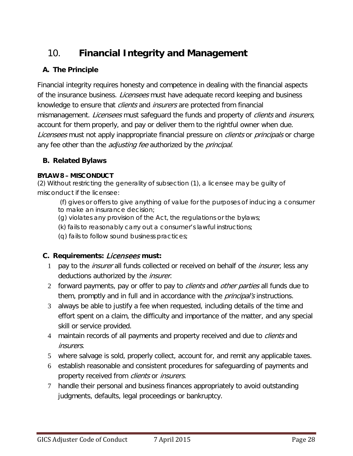# <span id="page-27-0"></span>10. **Financial Integrity and Management**

# **A. The Principle**

Financial integrity requires honesty and competence in dealing with the financial aspects of the insurance business. *Licensees* must have adequate record keeping and business knowledge to ensure that *clients* and *insurers* are protected from financial mismanagement. *Licensees* must safeguard the funds and property of *clients* and *insurers*, account for them properly, and pay or deliver them to the rightful owner when due. Licensees must not apply inappropriate financial pressure on *clients* or *principals* or charge any fee other than the *adjusting fee* authorized by the *principal*.

## **B. Related Bylaws**

#### **BYLAW 8 – MISCONDUCT**

(2) Without restricting the generality of subsection (1), a *licensee* may be guilty of misconduct if the *licensee*:

(f) gives or offers to give anything of value for the purposes of inducing a consumer to make an insurance decision;

- (g) violates any provision of the Act, the regulations or the bylaws;
- (k) fails to reasonably carry out a consumer's lawful instructions;
- (q) fails to follow sound business practices;

# **C. Requirements:** Licensees **must:**

- 1 pay to the *insurer* all funds collected or received on behalf of the *insurer*, less any deductions authorized by the *insurer*.
- 2 forward payments, pay or offer to pay to *clients* and *other parties* all funds due to them, promptly and in full and in accordance with the *principal's* instructions.
- 3 always be able to justify a fee when requested, including details of the time and effort spent on a claim, the difficulty and importance of the matter, and any special skill or service provided.
- 4 maintain records of all payments and property received and due to *clients* and insurers.
- 5 where salvage is sold, properly collect, account for, and remit any applicable taxes.
- 6 establish reasonable and consistent procedures for safeguarding of payments and property received from *clients* or *insurers*.
- 7 handle their personal and business finances appropriately to avoid outstanding judgments, defaults, legal proceedings or bankruptcy.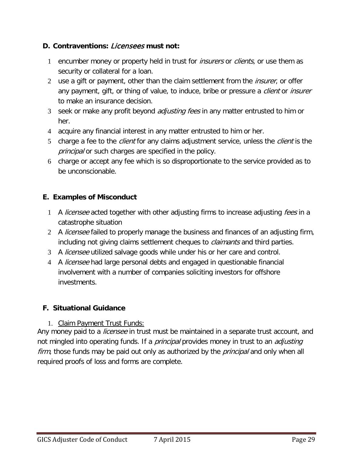## **D. Contraventions:** Licensees **must not:**

- 1 encumber money or property held in trust for *insurers* or *clients*, or use them as security or collateral for a loan.
- 2 use a gift or payment, other than the claim settlement from the *insurer*, or offer any payment, gift, or thing of value, to induce, bribe or pressure a *client* or *insurer* to make an insurance decision.
- 3 seek or make any profit beyond *adjusting fees* in any matter entrusted to him or her.
- 4 acquire any financial interest in any matter entrusted to him or her.
- 5 charge a fee to the *client* for any claims adjustment service, unless the *client* is the principal or such charges are specified in the policy.
- 6 charge or accept any fee which is so disproportionate to the service provided as to be unconscionable.

### **E. Examples of Misconduct**

- 1 A *licensee* acted together with other adjusting firms to increase adjusting *fees* in a catastrophe situation
- 2 A *licensee* failed to properly manage the business and finances of an adjusting firm, including not giving claims settlement cheques to *claimants* and third parties.
- 3 A *licensee* utilized salvage goods while under his or her care and control.
- 4 A *licensee* had large personal debts and engaged in questionable financial involvement with a number of companies soliciting investors for offshore investments.

### <span id="page-28-0"></span>**F. Situational Guidance**

#### 1. Claim Payment Trust Funds:

<span id="page-28-1"></span>Any money paid to a *licensee* in trust must be maintained in a separate trust account, and not mingled into operating funds. If a *principal* provides money in trust to an *adjusting* firm, those funds may be paid out only as authorized by the *principal* and only when all required proofs of loss and forms are complete.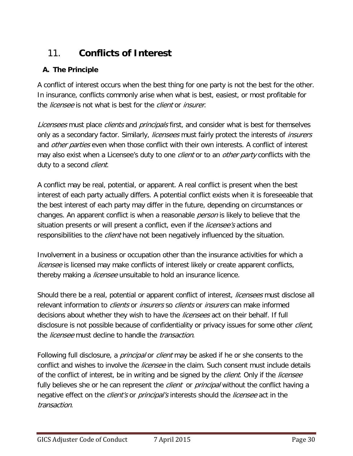# <span id="page-29-0"></span>11. **Conflicts of Interest**

# **A. The Principle**

A conflict of interest occurs when the best thing for one party is not the best for the other. In insurance, conflicts commonly arise when what is best, easiest, or most profitable for the *licensee* is not what is best for the *client* or *insurer*.

Licensees must place clients and principals first, and consider what is best for themselves only as a secondary factor. Similarly, *licensees* must fairly protect the interests of *insurers* and *other parties* even when those conflict with their own interests. A conflict of interest may also exist when a Licensee's duty to one *client* or to an *other party* conflicts with the duty to a second *client*.

A conflict may be real, potential, or apparent. A real conflict is present when the best interest of each party actually differs. A potential conflict exists when it is foreseeable that the best interest of each party may differ in the future, depending on circumstances or changes. An apparent conflict is when a reasonable *person* is likely to believe that the situation presents or will present a conflict, even if the *licensee's* actions and responsibilities to the *client* have not been negatively influenced by the situation.

Involvement in a business or occupation other than the insurance activities for which a *licensee* is licensed may make conflicts of interest likely or create apparent conflicts, thereby making a *licensee* unsuitable to hold an insurance licence.

Should there be a real, potential or apparent conflict of interest, *licensees* must disclose all relevant information to *clients* or *insurers* so *clients* or *insurers* can make informed decisions about whether they wish to have the *licensees* act on their behalf. If full disclosure is not possible because of confidentiality or privacy issues for some other *client*, the *licensee* must decline to handle the *transaction*.

Following full disclosure, a *principal* or *client* may be asked if he or she consents to the conflict and wishes to involve the *licensee* in the claim. Such consent must include details of the conflict of interest, be in writing and be signed by the *client*. Only if the *licensee* fully believes she or he can represent the *client* or *principal* without the conflict having a negative effect on the *client's* or *principal's* interests should the *licensee* act in the transaction.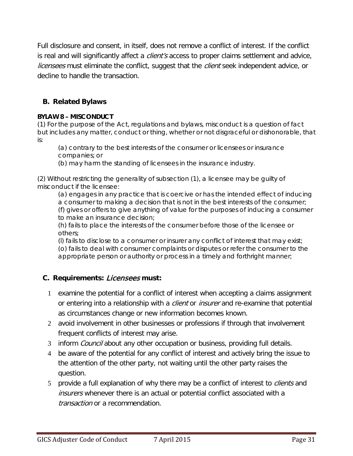Full disclosure and consent, in itself, does not remove a conflict of interest. If the conflict is real and will significantly affect a *client's* access to proper claims settlement and advice, *licensees* must eliminate the conflict, suggest that the *client* seek independent advice, or decline to handle the transaction.

## **B. Related Bylaws**

#### **BYLAW 8 – MISCONDUCT**

(1) For the purpose of the Act, regulations and bylaws, misconduct is a question of fact but includes any matter, conduct or thing, whether or not disgraceful or dishonorable, that is:

(a) contrary to the best interests of the consumer or *licensees* or insurance companies; or

(b) may harm the standing of *licensees* in the insurance industry.

(2) Without restricting the generality of subsection (1), a *licensee* may be guilty of misconduct if the *licensee*:

(a) engages in any practice that is coercive or has the intended effect of inducing a consumer to making a decision that is not in the best interests of the consumer; (f) gives or offers to give anything of value for the purposes of inducing a consumer to make an insurance decision;

(h) fails to place the interests of the consumer before those of the *licensee* or others;

(l) fails to disclose to a consumer or *insurer* any conflict of interest that may exist; (o) fails to deal with consumer complaints or disputes or refer the consumer to the appropriate *person* or authority or process in a timely and forthright manner;

### **C. Requirements:** Licensees **must:**

- 1 examine the potential for a conflict of interest when accepting a claims assignment or entering into a relationship with a *client* or *insurer* and re-examine that potential as circumstances change or new information becomes known.
- 2 avoid involvement in other businesses or professions if through that involvement frequent conflicts of interest may arise.
- 3 inform *Council* about any other occupation or business, providing full details.
- 4 be aware of the potential for any conflict of interest and actively bring the issue to the attention of the other party, not waiting until the other party raises the question.
- 5 provide a full explanation of why there may be a conflict of interest to *clients* and insurers whenever there is an actual or potential conflict associated with a transaction or a recommendation.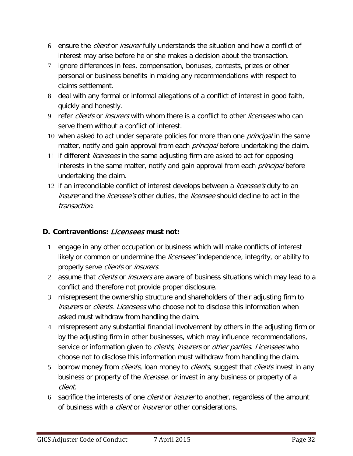- 6 ensure the client or insurer fully understands the situation and how a conflict of interest may arise before he or she makes a decision about the transaction.
- 7 ignore differences in fees, compensation, bonuses, contests, prizes or other personal or business benefits in making any recommendations with respect to claims settlement.
- 8 deal with any formal or informal allegations of a conflict of interest in good faith, quickly and honestly.
- 9 refer clients or insurers with whom there is a conflict to other licensees who can serve them without a conflict of interest.
- 10 when asked to act under separate policies for more than one *principal* in the same matter, notify and gain approval from each *principal* before undertaking the claim.
- 11 if different *licensees* in the same adjusting firm are asked to act for opposing interests in the same matter, notify and gain approval from each *principal* before undertaking the claim.
- 12 if an irreconcilable conflict of interest develops between a *licensee's* duty to an insurer and the *licensee's* other duties, the *licensee* should decline to act in the transaction.

### **D. Contraventions:** Licensees **must not:**

- 1 engage in any other occupation or business which will make conflicts of interest likely or common or undermine the *licensees'* independence, integrity, or ability to properly serve clients or insurers.
- 2 assume that *clients* or *insurers* are aware of business situations which may lead to a conflict and therefore not provide proper disclosure.
- 3 misrepresent the ownership structure and shareholders of their adjusting firm to insurers or *clients. Licensees* who choose not to disclose this information when asked must withdraw from handling the claim.
- 4 misrepresent any substantial financial involvement by others in the adjusting firm or by the adjusting firm in other businesses, which may influence recommendations, service or information given to *clients, insurers* or *other parties. Licensees* who choose not to disclose this information must withdraw from handling the claim.
- 5 borrow money from *clients*, loan money to *clients*, suggest that *clients* invest in any business or property of the *licensee*, or invest in any business or property of a client.
- 6 sacrifice the interests of one *client* or *insurer* to another, regardless of the amount of business with a *client* or *insurer* or other considerations.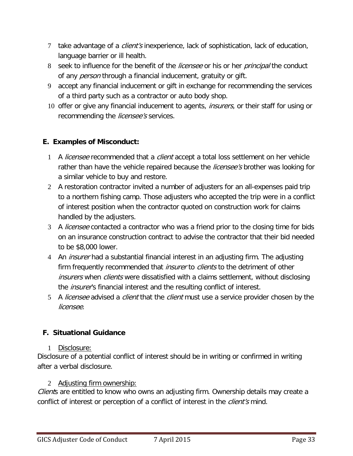- 7 take advantage of a *client's* inexperience, lack of sophistication, lack of education, language barrier or ill health.
- 8 seek to influence for the benefit of the *licensee* or his or her *principal* the conduct of any *person* through a financial inducement, gratuity or gift.
- 9 accept any financial inducement or gift in exchange for recommending the services of a third party such as a contractor or auto body shop.
- 10 offer or give any financial inducement to agents, insurers, or their staff for using or recommending the *licensee's* services.

## **E. Examples of Misconduct:**

- 1 A licensee recommended that a client accept a total loss settlement on her vehicle rather than have the vehicle repaired because the *licensee's* brother was looking for a similar vehicle to buy and restore.
- 2 A restoration contractor invited a number of adjusters for an all-expenses paid trip to a northern fishing camp. Those adjusters who accepted the trip were in a conflict of interest position when the contractor quoted on construction work for claims handled by the adjusters.
- 3 A *licensee* contacted a contractor who was a friend prior to the closing time for bids on an insurance construction contract to advise the contractor that their bid needed to be \$8,000 lower.
- 4 An *insurer* had a substantial financial interest in an adjusting firm. The adjusting firm frequently recommended that *insurer* to *clients* to the detriment of other insurers when clients were dissatisfied with a claims settlement, without disclosing the *insurer's* financial interest and the resulting conflict of interest.
- 5 A licensee advised a client that the client must use a service provider chosen by the licensee.

# <span id="page-32-0"></span>**F. Situational Guidance**

#### <span id="page-32-1"></span>1 Disclosure:

Disclosure of a potential conflict of interest should be in writing or confirmed in writing after a verbal disclosure.

#### <span id="page-32-2"></span>2 Adjusting firm ownership:

Clients are entitled to know who owns an adjusting firm. Ownership details may create a conflict of interest or perception of a conflict of interest in the *client's* mind.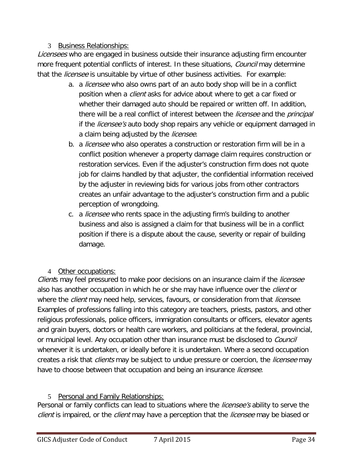### 3 Business Relationships:

<span id="page-33-0"></span>Licensees who are engaged in business outside their insurance adjusting firm encounter more frequent potential conflicts of interest. In these situations, *Council* may determine that the *licensee* is unsuitable by virtue of other business activities. For example:

- a. a licensee who also owns part of an auto body shop will be in a conflict position when a *client* asks for advice about where to get a car fixed or whether their damaged auto should be repaired or written off. In addition, there will be a real conflict of interest between the *licensee* and the *principal* if the *licensee's* auto body shop repairs any vehicle or equipment damaged in a claim being adjusted by the *licensee*.
- b. a *licensee* who also operates a construction or restoration firm will be in a conflict position whenever a property damage claim requires construction or restoration services. Even if the adjuster's construction firm does not quote job for claims handled by that adjuster, the confidential information received by the adjuster in reviewing bids for various jobs from other contractors creates an unfair advantage to the adjuster's construction firm and a public perception of wrongdoing.
- c. a *licensee* who rents space in the adjusting firm's building to another business and also is assigned a claim for that business will be in a conflict position if there is a dispute about the cause, severity or repair of building damage.

# <span id="page-33-1"></span>4 Other occupations:

Clients may feel pressured to make poor decisions on an insurance claim if the licensee also has another occupation in which he or she may have influence over the *client* or where the *client* may need help, services, favours, or consideration from that *licensee*. Examples of professions falling into this category are teachers, priests, pastors, and other religious professionals, police officers, immigration consultants or officers, elevator agents and grain buyers, doctors or health care workers, and politicians at the federal, provincial, or municipal level. Any occupation other than insurance must be disclosed to *Council* whenever it is undertaken, or ideally before it is undertaken. Where a second occupation creates a risk that *clients* may be subject to undue pressure or coercion, the *licensee* may have to choose between that occupation and being an insurance *licensee*.

# <span id="page-33-2"></span>5 Personal and Family Relationships:

Personal or family conflicts can lead to situations where the *licensee's* ability to serve the client is impaired, or the client may have a perception that the licensee may be biased or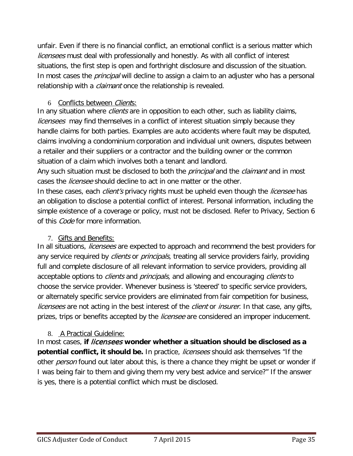unfair. Even if there is no financial conflict, an emotional conflict is a serious matter which *licensees* must deal with professionally and honestly. As with all conflict of interest situations, the first step is open and forthright disclosure and discussion of the situation. In most cases the *principal* will decline to assign a claim to an adjuster who has a personal relationship with a *claimant* once the relationship is revealed.

## <span id="page-34-0"></span>6 Conflicts between *Client*s:

In any situation where *clients* are in opposition to each other, such as liability claims, licensees may find themselves in a conflict of interest situation simply because they handle claims for both parties. Examples are auto accidents where fault may be disputed, claims involving a condominium corporation and individual unit owners, disputes between a retailer and their suppliers or a contractor and the building owner or the common situation of a claim which involves both a tenant and landlord.

Any such situation must be disclosed to both the *principal* and the *claimant* and in most cases the *licensee* should decline to act in one matter or the other.

In these cases, each *client's* privacy rights must be upheld even though the *licensee* has an obligation to disclose a potential conflict of interest. Personal information, including the simple existence of a coverage or policy, must not be disclosed. Refer to Privacy, Section 6 of this *Code* for more information.

### <span id="page-34-1"></span>7. Gifts and Benefits:

In all situations, *licensees* are expected to approach and recommend the best providers for any service required by *clients* or *principals*, treating all service providers fairly, providing full and complete disclosure of all relevant information to service providers, providing all acceptable options to *clients* and *principals*, and allowing and encouraging *clients* to choose the service provider. Whenever business is 'steered' to specific service providers, or alternately specific service providers are eliminated from fair competition for business, *licensees* are not acting in the best interest of the *client* or *insurer*. In that case, any gifts, prizes, trips or benefits accepted by the *licensee* are considered an improper inducement.

### <span id="page-34-2"></span>8. A Practical Guideline:

In most cases, **if** licensees **wonder whether a situation should be disclosed as a potential conflict, it should be.** In practice, licensees should ask themselves "If the other *person* found out later about this, is there a chance they might be upset or wonder if I was being fair to them and giving them my very best advice and service?" If the answer is yes, there is a potential conflict which must be disclosed.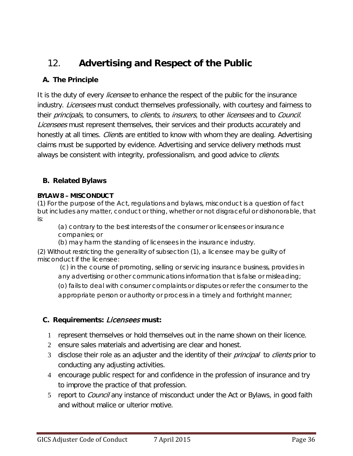# <span id="page-35-0"></span>12. **Advertising and Respect of the Public**

# **A. The Principle**

It is the duty of every *licensee* to enhance the respect of the public for the insurance industry. *Licensees* must conduct themselves professionally, with courtesy and fairness to their *principals*, to consumers, to *clients*, to *insurers*, to other *licensees* and to *Council*. Licensees must represent themselves, their services and their products accurately and honestly at all times. *Client*s are entitled to know with whom they are dealing. Advertising claims must be supported by evidence. Advertising and service delivery methods must always be consistent with integrity, professionalism, and good advice to *clients*.

# **B. Related Bylaws**

#### **BYLAW 8 – MISCONDUCT**

(1) For the purpose of the Act, regulations and bylaws, misconduct is a question of fact but includes any matter, conduct or thing, whether or not disgraceful or dishonorable, that is:

(a) contrary to the best interests of the consumer or *licensees* or insurance companies; or

(b) may harm the standing of *licensees* in the insurance industry.

(2) Without restricting the generality of subsection (1), a *licensee* may be guilty of misconduct if the *licensee*:

(c) in the course of promoting, selling or servicing insurance business, provides in any advertising or other communications information that is false or misleading; (o) fails to deal with consumer complaints or disputes or refer the consumer to the appropriate *person* or authority or process in a timely and forthright manner;

# **C. Requirements:** Licensees **must:**

- 1 represent themselves or hold themselves out in the name shown on their licence.
- 2 ensure sales materials and advertising are clear and honest.
- 3 disclose their role as an adjuster and the identity of their *principal* to *clients* prior to conducting any adjusting activities.
- 4 encourage public respect for and confidence in the profession of insurance and try to improve the practice of that profession.
- 5 report to *Council* any instance of misconduct under the Act or Bylaws, in good faith and without malice or ulterior motive.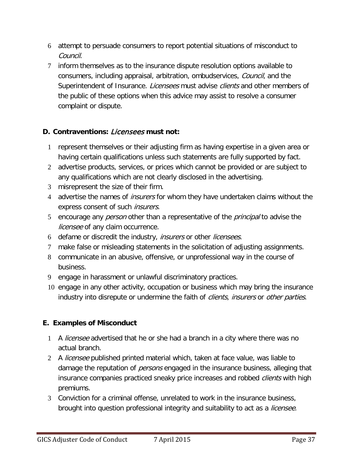- 6 attempt to persuade consumers to report potential situations of misconduct to Council.
- 7 inform themselves as to the insurance dispute resolution options available to consumers, including appraisal, arbitration, ombudservices, Council, and the Superintendent of Insurance. Licensees must advise clients and other members of the public of these options when this advice may assist to resolve a consumer complaint or dispute.

# **D. Contraventions:** Licensees **must not:**

- 1 represent themselves or their adjusting firm as having expertise in a given area or having certain qualifications unless such statements are fully supported by fact.
- 2 advertise products, services, or prices which cannot be provided or are subject to any qualifications which are not clearly disclosed in the advertising.
- 3 misrepresent the size of their firm.
- 4 advertise the names of *insurers* for whom they have undertaken claims without the express consent of such *insurers*.
- 5 encourage any *person* other than a representative of the *principal* to advise the licensee of any claim occurrence.
- 6 defame or discredit the industry, *insurers* or other *licensees*.
- 7 make false or misleading statements in the solicitation of adjusting assignments.
- 8 communicate in an abusive, offensive, or unprofessional way in the course of business.
- 9 engage in harassment or unlawful discriminatory practices.
- 10 engage in any other activity, occupation or business which may bring the insurance industry into disrepute or undermine the faith of *clients, insurers* or *other parties*.

# **E. Examples of Misconduct**

- 1 A licensee advertised that he or she had a branch in a city where there was no actual branch.
- 2 A *licensee* published printed material which, taken at face value, was liable to damage the reputation of *persons* engaged in the insurance business, alleging that insurance companies practiced sneaky price increases and robbed *clients* with high premiums.
- 3 Conviction for a criminal offense, unrelated to work in the insurance business, brought into question professional integrity and suitability to act as a *licensee*.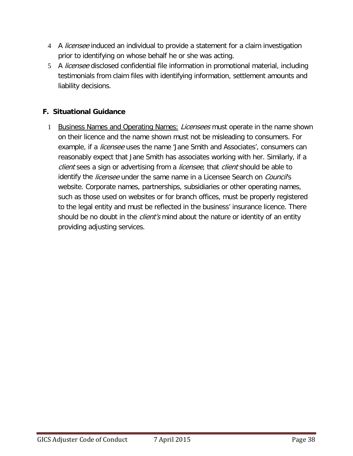- 4 A *licensee* induced an individual to provide a statement for a claim investigation prior to identifying on whose behalf he or she was acting.
- 5 A licensee disclosed confidential file information in promotional material, including testimonials from claim files with identifying information, settlement amounts and liability decisions.

## <span id="page-37-0"></span>**F. Situational Guidance**

<span id="page-37-1"></span>1 Business Names and Operating Names: Licensees must operate in the name shown on their licence and the name shown must not be misleading to consumers. For example, if a *licensee* uses the name 'Jane Smith and Associates', consumers can reasonably expect that Jane Smith has associates working with her. Similarly, if a client sees a sign or advertising from a licensee, that client should be able to identify the *licensee* under the same name in a Licensee Search on *Council's* website. Corporate names, partnerships, subsidiaries or other operating names, such as those used on websites or for branch offices, must be properly registered to the legal entity and must be reflected in the business' insurance licence. There should be no doubt in the *client's* mind about the nature or identity of an entity providing adjusting services.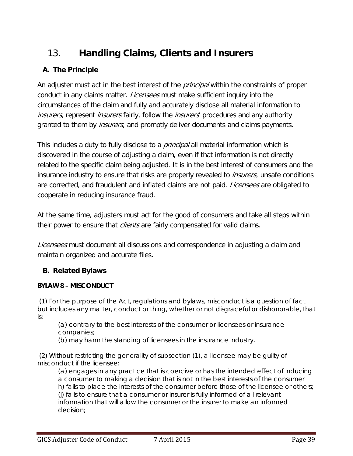# <span id="page-38-0"></span>13. **Handling Claims, Clients and Insurers**

# **A. The Principle**

An adjuster must act in the best interest of the *principal* within the constraints of proper conduct in any claims matter. Licensees must make sufficient inquiry into the circumstances of the claim and fully and accurately disclose all material information to *insurers*, represent *insurers* fairly, follow the *insurers*' procedures and any authority granted to them by *insurers*, and promptly deliver documents and claims payments.

This includes a duty to fully disclose to a *principal* all material information which is discovered in the course of adjusting a claim, even if that information is not directly related to the specific claim being adjusted. It is in the best interest of consumers and the insurance industry to ensure that risks are properly revealed to *insurers*, unsafe conditions are corrected, and fraudulent and inflated claims are not paid. *Licensees* are obligated to cooperate in reducing insurance fraud.

At the same time, adjusters must act for the good of consumers and take all steps within their power to ensure that *clients* are fairly compensated for valid claims.

Licensees must document all discussions and correspondence in adjusting a claim and maintain organized and accurate files.

# **B. Related Bylaws**

### **BYLAW 8 – MISCONDUCT**

(1) For the purpose of the Act, regulations and bylaws, misconduct is a question of fact but includes any matter, conduct or thing, whether or not disgraceful or dishonorable, that is:

(a) contrary to the best interests of the consumer or *licensees* or insurance companies;

(b) may harm the standing of *licensees* in the insurance industry.

(2) Without restricting the generality of subsection (1), a *licensee* may be guilty of misconduct if the *licensee*:

(a) engages in any practice that is coercive or has the intended effect of inducing a consumer to making a decision that is not in the best interests of the consumer h) fails to place the interests of the consumer before those of the *licensee* or others; (j) fails to ensure that a consumer or *insurer* is fully informed of all relevant information that will allow the consumer or the *insurer* to make an informed decision;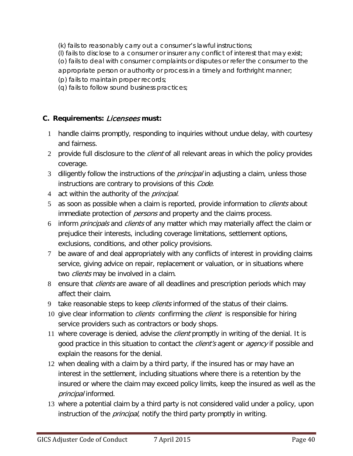(k) fails to reasonably carry out a consumer's lawful instructions;

(l) fails to disclose to a consumer or *insurer* any conflict of interest that may exist; (o) fails to deal with consumer complaints or disputes or refer the consumer to the appropriate *person* or authority or process in a timely and forthright manner;

- (p) fails to maintain proper records;
- (q) fails to follow sound business practices;

### **C. Requirements:** Licensees **must:**

- 1 handle claims promptly, responding to inquiries without undue delay, with courtesy and fairness.
- 2 provide full disclosure to the *client* of all relevant areas in which the policy provides coverage.
- 3 diligently follow the instructions of the *principal* in adjusting a claim, unless those instructions are contrary to provisions of this Code.
- 4 act within the authority of the *principal*.
- 5 as soon as possible when a claim is reported, provide information to *clients* about immediate protection of *persons* and property and the claims process.
- 6 inform *principals* and *clients* of any matter which may materially affect the claim or prejudice their interests, including coverage limitations, settlement options, exclusions, conditions, and other policy provisions.
- 7 be aware of and deal appropriately with any conflicts of interest in providing claims service, giving advice on repair, replacement or valuation, or in situations where two *clients* may be involved in a claim.
- 8 ensure that *clients* are aware of all deadlines and prescription periods which may affect their claim.
- 9 take reasonable steps to keep *clients* informed of the status of their claims.
- 10 give clear information to *clients* confirming the *client* is responsible for hiring service providers such as contractors or body shops.
- 11 where coverage is denied, advise the *client* promptly in writing of the denial. It is good practice in this situation to contact the *client's* agent or *agency* if possible and explain the reasons for the denial.
- 12 when dealing with a claim by a third party, if the insured has or may have an interest in the settlement, including situations where there is a retention by the insured or where the claim may exceed policy limits, keep the insured as well as the principal informed.
- 13 where a potential claim by a third party is not considered valid under a policy, upon instruction of the *principal*, notify the third party promptly in writing.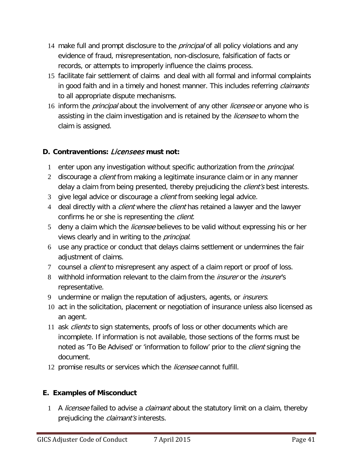- 14 make full and prompt disclosure to the *principal* of all policy violations and any evidence of fraud, misrepresentation, non-disclosure, falsification of facts or records, or attempts to improperly influence the claims process.
- 15 facilitate fair settlement of claims and deal with all formal and informal complaints in good faith and in a timely and honest manner. This includes referring *claimants* to all appropriate dispute mechanisms.
- 16 inform the *principal* about the involvement of any other *licensee* or anyone who is assisting in the claim investigation and is retained by the *licensee* to whom the claim is assigned.

# **D. Contraventions:** Licensees **must not:**

- 1 enter upon any investigation without specific authorization from the *principal*.
- 2 discourage a *client* from making a legitimate insurance claim or in any manner delay a claim from being presented, thereby prejudicing the *client's* best interests.
- 3 give legal advice or discourage a *client* from seeking legal advice.
- 4 deal directly with a *client* where the *client* has retained a lawyer and the lawyer confirms he or she is representing the *client*.
- 5 deny a claim which the *licensee* believes to be valid without expressing his or her views clearly and in writing to the *principal*.
- 6 use any practice or conduct that delays claims settlement or undermines the fair adjustment of claims.
- 7 counsel a *client* to misrepresent any aspect of a claim report or proof of loss.
- 8 withhold information relevant to the claim from the *insurer* or the *insurer's* representative.
- 9 undermine or malign the reputation of adjusters, agents, or *insurers*.
- 10 act in the solicitation, placement or negotiation of insurance unless also licensed as an agent.
- 11 ask *clients* to sign statements, proofs of loss or other documents which are incomplete. If information is not available, those sections of the forms must be noted as 'To Be Advised' or 'information to follow' prior to the *client* signing the document.
- 12 promise results or services which the licensee cannot fulfill.

### **E. Examples of Misconduct**

1 A licensee failed to advise a claimant about the statutory limit on a claim, thereby prejudicing the *claimant's* interests.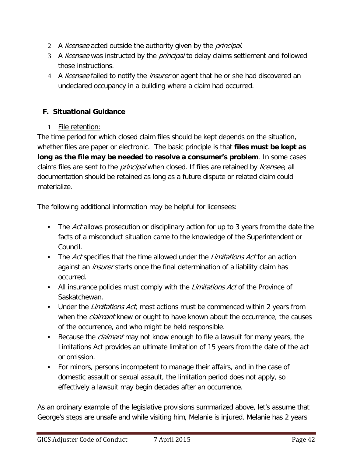- 2 A *licensee* acted outside the authority given by the *principal*.
- 3 A licensee was instructed by the *principal* to delay claims settlement and followed those instructions.
- 4 A licensee failed to notify the insurer or agent that he or she had discovered an undeclared occupancy in a building where a claim had occurred.

# <span id="page-41-0"></span>**F. Situational Guidance**

1 File retention:

<span id="page-41-1"></span>The time period for which closed claim files should be kept depends on the situation, whether files are paper or electronic. The basic principle is that **files must be kept as long as the file may be needed to resolve a consumer's problem**. In some cases claims files are sent to the *principal* when closed. If files are retained by *licensee*, all documentation should be retained as long as a future dispute or related claim could materialize.

The following additional information may be helpful for licensees:

- The Act allows prosecution or disciplinary action for up to 3 years from the date the facts of a misconduct situation came to the knowledge of the Superintendent or Council.
- The Act specifies that the time allowed under the Limitations Act for an action against an *insurer* starts once the final determination of a liability claim has occurred.
- All insurance policies must comply with the *Limitations Act* of the Province of Saskatchewan.
- Under the *Limitations Act*, most actions must be commenced within 2 years from when the *claimant* knew or ought to have known about the occurrence, the causes of the occurrence, and who might be held responsible.
- Because the *claimant* may not know enough to file a lawsuit for many years, the Limitations Act provides an ultimate limitation of 15 years from the date of the act or omission.
- For minors, persons incompetent to manage their affairs, and in the case of domestic assault or sexual assault, the limitation period does not apply, so effectively a lawsuit may begin decades after an occurrence.

As an ordinary example of the legislative provisions summarized above, let's assume that George's steps are unsafe and while visiting him, Melanie is injured. Melanie has 2 years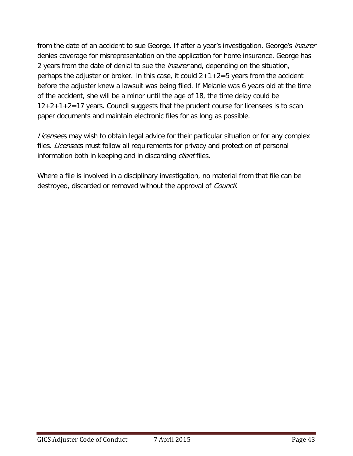from the date of an accident to sue George. If after a year's investigation, George's *insurer* denies coverage for misrepresentation on the application for home insurance, George has 2 years from the date of denial to sue the *insurer* and, depending on the situation, perhaps the adjuster or broker. In this case, it could  $2+1+2=5$  years from the accident before the adjuster knew a lawsuit was being filed. If Melanie was 6 years old at the time of the accident, she will be a minor until the age of 18, the time delay could be 12+2+1+2=17 years. Council suggests that the prudent course for licensees is to scan paper documents and maintain electronic files for as long as possible.

Licensees may wish to obtain legal advice for their particular situation or for any complex files. *Licensee*s must follow all requirements for privacy and protection of personal information both in keeping and in discarding *client* files.

Where a file is involved in a disciplinary investigation, no material from that file can be destroyed, discarded or removed without the approval of Council.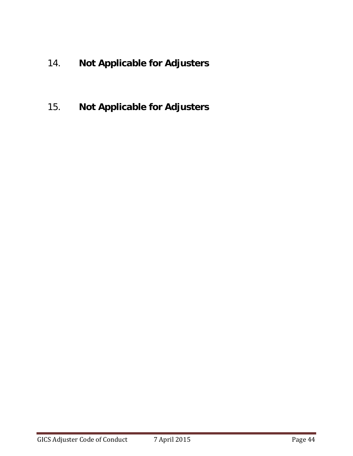- <span id="page-43-0"></span>14. **Not Applicable for Adjusters**
- <span id="page-43-1"></span>15. **Not Applicable for Adjusters**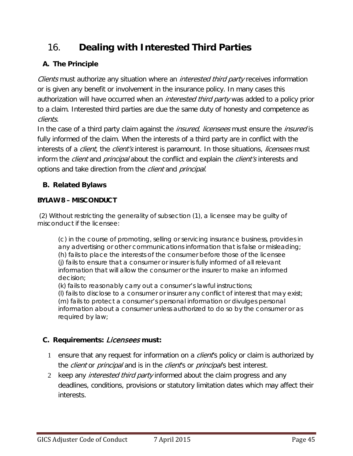# <span id="page-44-0"></span>16. **Dealing with Interested Third Parties**

# **A. The Principle**

Clients must authorize any situation where an *interested third party* receives information or is given any benefit or involvement in the insurance policy. In many cases this authorization will have occurred when an *interested third party* was added to a policy prior to a claim. Interested third parties are due the same duty of honesty and competence as clients.

In the case of a third party claim against the *insured, licensees* must ensure the *insured* is fully informed of the claim. When the interests of a third party are in conflict with the interests of a *client*, the *client's* interest is paramount. In those situations, *licensees* must inform the *client* and *principal* about the conflict and explain the *client's* interests and options and take direction from the *client* and *principal*.

# **B. Related Bylaws**

# **BYLAW 8 – MISCONDUCT**

(2) Without restricting the generality of subsection (1), a *licensee* may be guilty of misconduct if the *licensee*:

(c) in the course of promoting, selling or servicing insurance business, provides in any advertising or other communications information that is false or misleading; (h) fails to place the interests of the consumer before those of the *licensee* (j) fails to ensure that a consumer or *insurer* is fully informed of all relevant information that will allow the consumer or the *insurer* to make an informed decision;

(k) fails to reasonably carry out a consumer's lawful instructions;

(l) fails to disclose to a consumer or *insurer* any conflict of interest that may exist; (m) fails to protect a consumer's personal information or divulges personal information about a consumer unless authorized to do so by the consumer or as required by law;

# **C. Requirements:** Licensees **must:**

- 1 ensure that any request for information on a *client*'s policy or claim is authorized by the *client* or *principal* and is in the *client*'s or *principal*'s best interest.
- 2 keep any *interested third party* informed about the claim progress and any deadlines, conditions, provisions or statutory limitation dates which may affect their interests.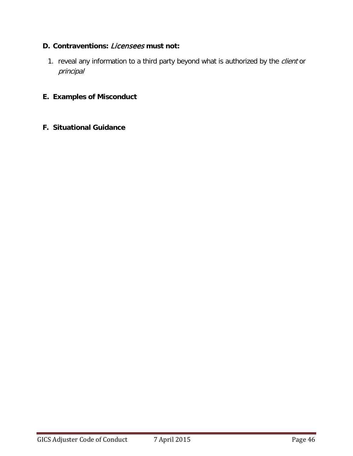# **D. Contraventions:** Licensees **must not:**

1. reveal any information to a third party beyond what is authorized by the client or principal

#### **E. Examples of Misconduct**

#### **F. Situational Guidance**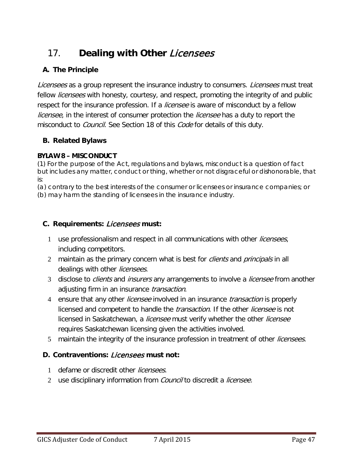# <span id="page-46-0"></span>17. **Dealing with Other** Licensees

# **A. The Principle**

Licensees as a group represent the insurance industry to consumers. Licensees must treat fellow *licensees* with honesty, courtesy, and respect, promoting the integrity of and public respect for the insurance profession. If a *licensee* is aware of misconduct by a fellow *licensee*, in the interest of consumer protection the *licensee* has a duty to report the misconduct to *Council*. See Section 18 of this *Code* for details of this duty.

# **B. Related Bylaws**

### **BYLAW 8 – MISCONDUCT**

(1) For the purpose of the Act, regulations and bylaws, misconduct is a question of fact but includes any matter, conduct or thing, whether or not disgraceful or dishonorable, that is:

(a) contrary to the best interests of the consumer or *licensees* or insurance companies; or (b) may harm the standing of *licensees* in the insurance industry.

## **C. Requirements:** Licensees **must:**

- 1 use professionalism and respect in all communications with other *licensees*, including competitors.
- 2 maintain as the primary concern what is best for *clients* and *principals* in all dealings with other *licensees*.
- 3 disclose to *clients* and *insurers* any arrangements to involve a *licensee* from another adjusting firm in an insurance *transaction*.
- 4 ensure that any other *licensee* involved in an insurance *transaction* is properly licensed and competent to handle the *transaction*. If the other *licensee* is not licensed in Saskatchewan, a *licensee* must verify whether the other *licensee* requires Saskatchewan licensing given the activities involved.
- 5 maintain the integrity of the insurance profession in treatment of other *licensees*.

# **D. Contraventions:** Licensees **must not:**

- 1 defame or discredit other *licensees*.
- 2 use disciplinary information from *Council* to discredit a *licensee.*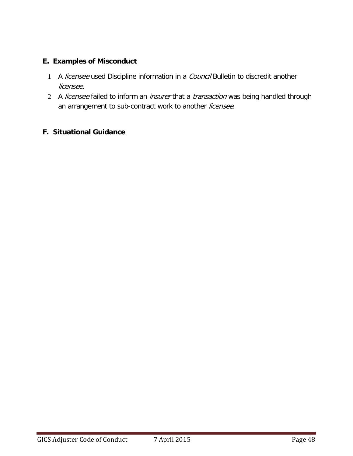### **E. Examples of Misconduct**

- 1 A licensee used Discipline information in a Council Bulletin to discredit another licensee.
- 2 A licensee failed to inform an insurer that a transaction was being handled through an arrangement to sub-contract work to another licensee.

### **F. Situational Guidance**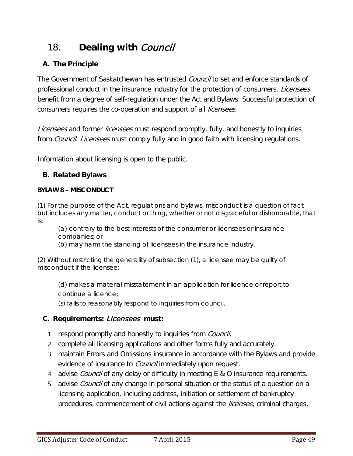# <span id="page-48-0"></span>18. **Dealing with** Council

# **A. The Principle**

The Government of Saskatchewan has entrusted *Council* to set and enforce standards of professional conduct in the insurance industry for the protection of consumers. *Licensees* benefit from a degree of self-regulation under the Act and Bylaws. Successful protection of consumers requires the co-operation and support of all *licensees*.

Licensees and former licensees must respond promptly, fully, and honestly to inquiries from *Council. Licensees* must comply fully and in good faith with licensing regulations.

Information about licensing is open to the public.

# **B. Related Bylaws**

#### **BYLAW 8 – MISCONDUCT**

(1) For the purpose of the Act, regulations and bylaws, misconduct is a question of fact but includes any matter, conduct or thing, whether or not disgraceful or dishonorable, that is:

(a) contrary to the best interests of the consumer or *licensees* or insurance companies; or

(b) may harm the standing of *licensees* in the insurance industry.

(2) Without restricting the generality of subsection (1), a *licensee* may be guilty of misconduct if the *licensee*:

(d) makes a material misstatement in an application for licence or report to continue a licence;

(s) fails to reasonably respond to inquiries from council.

# **C. Requirements:** Licensees **must:**

- 1 respond promptly and honestly to inquiries from *Council*.
- 2 complete all licensing applications and other forms fully and accurately.
- 3 maintain Errors and Omissions insurance in accordance with the Bylaws and provide evidence of insurance to *Council* immediately upon request.
- 4 advise *Council* of any delay or difficulty in meeting E & O insurance requirements.
- 5 advise *Council* of any change in personal situation or the status of a question on a licensing application, including address, initiation or settlement of bankruptcy procedures, commencement of civil actions against the *licensee*, criminal charges,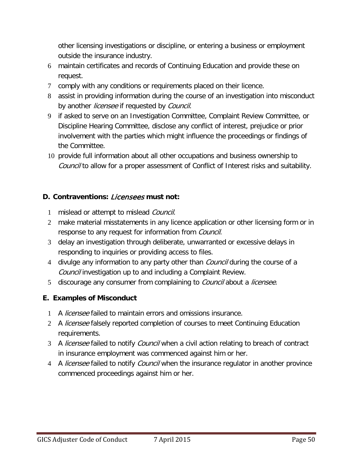other licensing investigations or discipline, or entering a business or employment outside the insurance industry.

- 6 maintain certificates and records of Continuing Education and provide these on request.
- 7 comply with any conditions or requirements placed on their licence.
- 8 assist in providing information during the course of an investigation into misconduct by another *licensee* if requested by *Council*.
- 9 if asked to serve on an Investigation Committee, Complaint Review Committee, or Discipline Hearing Committee, disclose any conflict of interest, prejudice or prior involvement with the parties which might influence the proceedings or findings of the Committee.
- 10 provide full information about all other occupations and business ownership to Council to allow for a proper assessment of Conflict of Interest risks and suitability.

# **D. Contraventions:** Licensees **must not:**

- 1 mislead or attempt to mislead Council.
- 2 make material misstatements in any licence application or other licensing form or in response to any request for information from *Council*.
- 3 delay an investigation through deliberate, unwarranted or excessive delays in responding to inquiries or providing access to files.
- 4 divulge any information to any party other than *Council* during the course of a Council investigation up to and including a Complaint Review.
- 5 discourage any consumer from complaining to *Council* about a *licensee*.

### **E. Examples of Misconduct**

- 1 A licensee failed to maintain errors and omissions insurance.
- 2 A *licensee* falsely reported completion of courses to meet Continuing Education requirements.
- 3 A licensee failed to notify Council when a civil action relating to breach of contract in insurance employment was commenced against him or her.
- 4 A *licensee* failed to notify *Council* when the insurance regulator in another province commenced proceedings against him or her.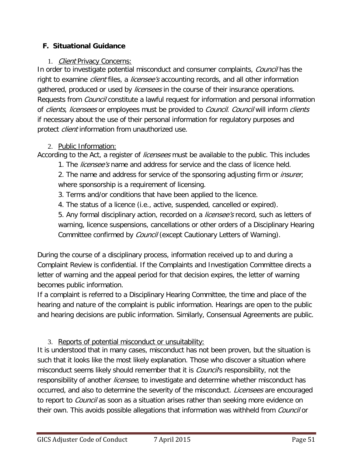## <span id="page-50-0"></span>**F. Situational Guidance**

### 1. Client Privacy Concerns:

<span id="page-50-1"></span>In order to investigate potential misconduct and consumer complaints, Council has the right to examine *client* files, a *licensee's* accounting records, and all other information gathered, produced or used by *licensees* in the course of their insurance operations. Requests from *Council* constitute a lawful request for information and personal information of clients, licensees or employees must be provided to Council. Council will inform clients if necessary about the use of their personal information for regulatory purposes and protect *client* information from unauthorized use.

# <span id="page-50-2"></span>2. Public Information:

According to the Act, a register of *licensees* must be available to the public. This includes

1. The *licensee's* name and address for service and the class of licence held.

2. The name and address for service of the sponsoring adjusting firm or *insurer*, where sponsorship is a requirement of licensing.

- 3. Terms and/or conditions that have been applied to the licence.
- 4. The status of a licence (i.e., active, suspended, cancelled or expired).

5. Any formal disciplinary action, recorded on a *licensee's* record, such as letters of warning, licence suspensions, cancellations or other orders of a Disciplinary Hearing Committee confirmed by *Council* (except Cautionary Letters of Warning).

During the course of a disciplinary process, information received up to and during a Complaint Review is confidential. If the Complaints and Investigation Committee directs a letter of warning and the appeal period for that decision expires, the letter of warning becomes public information.

If a complaint is referred to a Disciplinary Hearing Committee, the time and place of the hearing and nature of the complaint is public information. Hearings are open to the public and hearing decisions are public information. Similarly, Consensual Agreements are public.

# <span id="page-50-3"></span>3. Reports of potential misconduct or unsuitability:

It is understood that in many cases, misconduct has not been proven, but the situation is such that it looks like the most likely explanation. Those who discover a situation where misconduct seems likely should remember that it is *Council's* responsibility, not the responsibility of another licensee, to investigate and determine whether misconduct has occurred, and also to determine the severity of the misconduct. Licensees are encouraged to report to *Council* as soon as a situation arises rather than seeking more evidence on their own. This avoids possible allegations that information was withheld from *Council* or